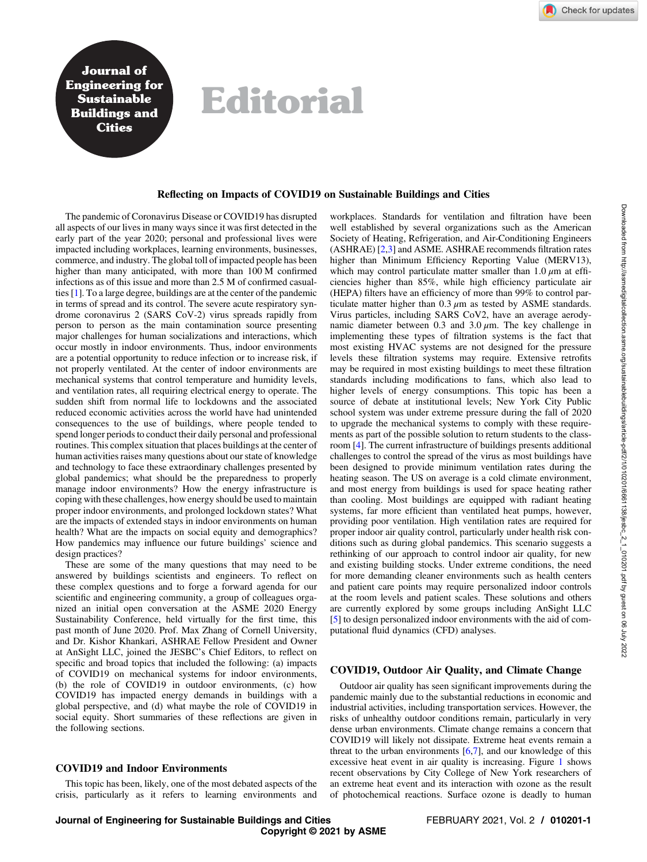Journal of Engineering for Sustainable Buildings and **Cities** 

# Editorial

#### Reflecting on Impacts of COVID19 on Sustainable Buildings and Cities

The pandemic of Coronavirus Disease or COVID19 has disrupted all aspects of our lives in many ways since it was first detected in the early part of the year 2020; personal and professional lives were impacted including workplaces, learning environments, businesses, commerce, and industry. The global toll of impacted people has been higher than many anticipated, with more than 100 M confirmed infections as of this issue and more than 2.5 M of confirmed casualties [[1](#page-3-0)]. To a large degree, buildings are at the center of the pandemic in terms of spread and its control. The severe acute respiratory syndrome coronavirus 2 (SARS CoV-2) virus spreads rapidly from person to person as the main contamination source presenting major challenges for human socializations and interactions, which occur mostly in indoor environments. Thus, indoor environments are a potential opportunity to reduce infection or to increase risk, if not properly ventilated. At the center of indoor environments are mechanical systems that control temperature and humidity levels, and ventilation rates, all requiring electrical energy to operate. The sudden shift from normal life to lockdowns and the associated reduced economic activities across the world have had unintended consequences to the use of buildings, where people tended to spend longer periods to conduct their daily personal and professional routines. This complex situation that places buildings at the center of human activities raises many questions about our state of knowledge and technology to face these extraordinary challenges presented by global pandemics; what should be the preparedness to properly manage indoor environments? How the energy infrastructure is coping with these challenges, how energy should be used to maintain proper indoor environments, and prolonged lockdown states? What are the impacts of extended stays in indoor environments on human health? What are the impacts on social equity and demographics? How pandemics may influence our future buildings' science and design practices?

These are some of the many questions that may need to be answered by buildings scientists and engineers. To reflect on these complex questions and to forge a forward agenda for our scientific and engineering community, a group of colleagues organized an initial open conversation at the ASME 2020 Energy Sustainability Conference, held virtually for the first time, this past month of June 2020. Prof. Max Zhang of Cornell University, and Dr. Kishor Khankari, ASHRAE Fellow President and Owner at AnSight LLC, joined the JESBC's Chief Editors, to reflect on specific and broad topics that included the following: (a) impacts of COVID19 on mechanical systems for indoor environments, (b) the role of COVID19 in outdoor environments, (c) how COVID19 has impacted energy demands in buildings with a global perspective, and (d) what maybe the role of COVID19 in social equity. Short summaries of these reflections are given in the following sections.

## COVID19 and Indoor Environments

This topic has been, likely, one of the most debated aspects of the crisis, particularly as it refers to learning environments and

workplaces. Standards for ventilation and filtration have been well established by several organizations such as the American Society of Heating, Refrigeration, and Air-Conditioning Engineers (ASHRAE) [\[2,3\]](#page-3-0) and ASME. ASHRAE recommends filtration rates higher than Minimum Efficiency Reporting Value (MERV13), which may control particulate matter smaller than  $1.0 \mu m$  at efficiencies higher than 85%, while high efficiency particulate air (HEPA) filters have an efficiency of more than 99% to control particulate matter higher than  $0.3 \mu$ m as tested by ASME standards. Virus particles, including SARS CoV2, have an average aerodynamic diameter between 0.3 and  $3.0 \mu$ m. The key challenge in implementing these types of filtration systems is the fact that most existing HVAC systems are not designed for the pressure levels these filtration systems may require. Extensive retrofits may be required in most existing buildings to meet these filtration standards including modifications to fans, which also lead to higher levels of energy consumptions. This topic has been a source of debate at institutional levels; New York City Public school system was under extreme pressure during the fall of 2020 to upgrade the mechanical systems to comply with these requirements as part of the possible solution to return students to the classroom [[4](#page-3-0)]. The current infrastructure of buildings presents additional challenges to control the spread of the virus as most buildings have been designed to provide minimum ventilation rates during the heating season. The US on average is a cold climate environment, and most energy from buildings is used for space heating rather than cooling. Most buildings are equipped with radiant heating systems, far more efficient than ventilated heat pumps, however, providing poor ventilation. High ventilation rates are required for proper indoor air quality control, particularly under health risk conditions such as during global pandemics. This scenario suggests a rethinking of our approach to control indoor air quality, for new and existing building stocks. Under extreme conditions, the need for more demanding cleaner environments such as health centers and patient care points may require personalized indoor controls at the room levels and patient scales. These solutions and others are currently explored by some groups including AnSight LLC [[5](#page-3-0)] to design personalized indoor environments with the aid of computational fluid dynamics (CFD) analyses.

## COVID19, Outdoor Air Quality, and Climate Change

Outdoor air quality has seen significant improvements during the pandemic mainly due to the substantial reductions in economic and industrial activities, including transportation services. However, the risks of unhealthy outdoor conditions remain, particularly in very dense urban environments. Climate change remains a concern that COVID19 will likely not dissipate. Extreme heat events remain a threat to the urban environments  $[6,7]$ , and our knowledge of this excessive heat event in air quality is increasing. Figure [1](#page-1-0) shows recent observations by City College of New York researchers of an extreme heat event and its interaction with ozone as the result of photochemical reactions. Surface ozone is deadly to human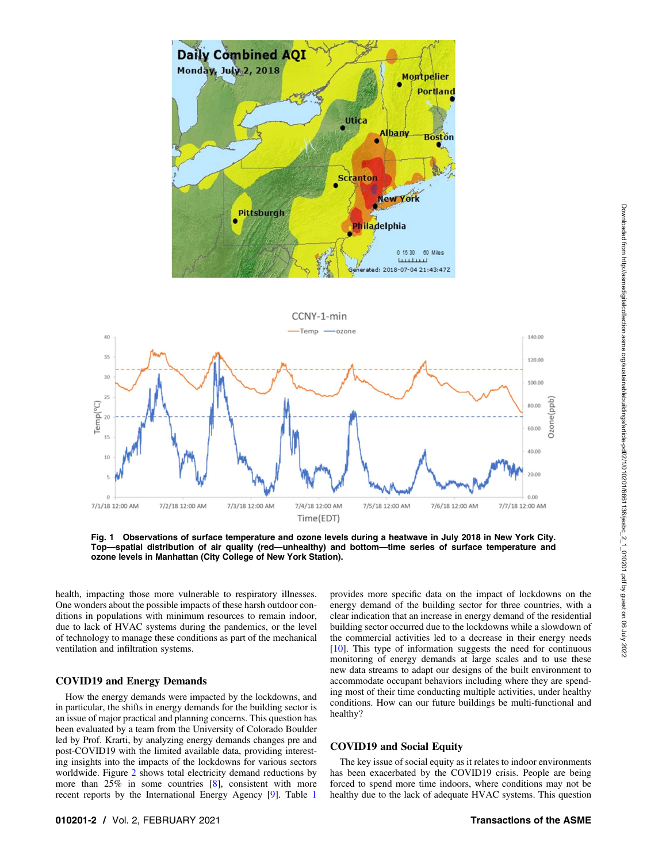<span id="page-1-0"></span>

Fig. 1 Observations of surface temperature and ozone levels during a heatwave in July 2018 in New York City. Top—spatial distribution of air quality (red—unhealthy) and bottom—time series of surface temperature and ozone levels in Manhattan (City College of New York Station).

health, impacting those more vulnerable to respiratory illnesses. One wonders about the possible impacts of these harsh outdoor conditions in populations with minimum resources to remain indoor, due to lack of HVAC systems during the pandemics, or the level of technology to manage these conditions as part of the mechanical ventilation and infiltration systems.

## COVID19 and Energy Demands

How the energy demands were impacted by the lockdowns, and in particular, the shifts in energy demands for the building sector is an issue of major practical and planning concerns. This question has been evaluated by a team from the University of Colorado Boulder led by Prof. Krarti, by analyzing energy demands changes pre and post-COVID19 with the limited available data, providing interesting insights into the impacts of the lockdowns for various sectors worldwide. Figure [2](#page-2-0) shows total electricity demand reductions by more than 25% in some countries [\[8\]](#page-3-0), consistent with more recent reports by the International Energy Agency [\[9\]](#page-3-0). Table [1](#page-2-0)

provides more specific data on the impact of lockdowns on the energy demand of the building sector for three countries, with a clear indication that an increase in energy demand of the residential building sector occurred due to the lockdowns while a slowdown of the commercial activities led to a decrease in their energy needs [[10\]](#page-3-0). This type of information suggests the need for continuous monitoring of energy demands at large scales and to use these new data streams to adapt our designs of the built environment to accommodate occupant behaviors including where they are spending most of their time conducting multiple activities, under healthy conditions. How can our future buildings be multi-functional and healthy?

#### COVID19 and Social Equity

The key issue of social equity as it relates to indoor environments has been exacerbated by the COVID19 crisis. People are being forced to spend more time indoors, where conditions may not be healthy due to the lack of adequate HVAC systems. This question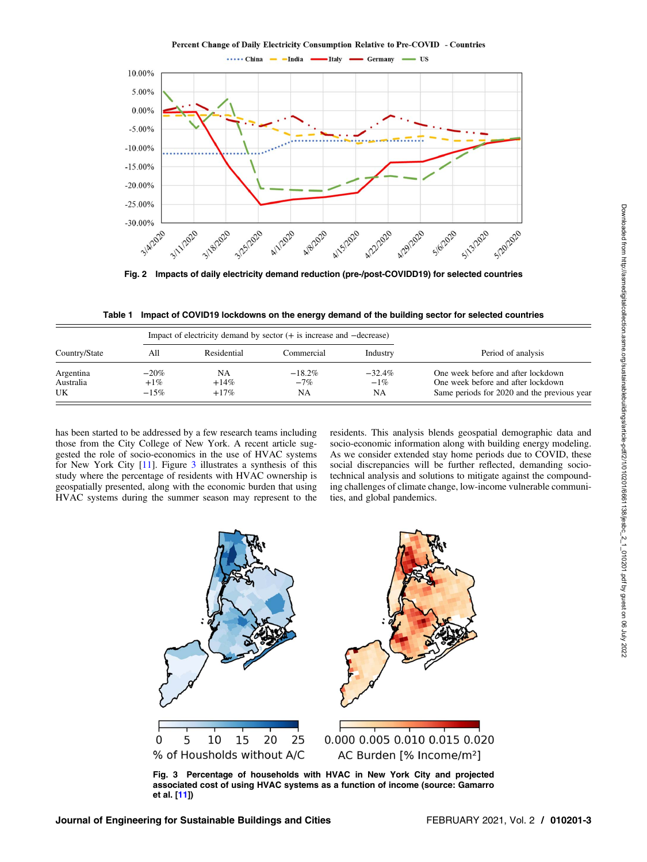Percent Change of Daily Electricity Consumption Relative to Pre-COVID - Countries

<span id="page-2-0"></span>

Fig. 2 Impacts of daily electricity demand reduction (pre-/post-COVIDD19) for selected countries

Table 1 Impact of COVID19 lockdowns on the energy demand of the building sector for selected countries

| Country/State   | Impact of electricity demand by sector $(+)$ is increase and $-$ decrease) |                   |              |              |                                                                                   |
|-----------------|----------------------------------------------------------------------------|-------------------|--------------|--------------|-----------------------------------------------------------------------------------|
|                 | All                                                                        | Residential       | Commercial   | Industry     | Period of analysis                                                                |
| Argentina       | $-20\%$                                                                    | NΑ                | $-18.2%$     | $-32.4\%$    | One week before and after lockdown                                                |
| Australia<br>UK | $+1\%$<br>$-15%$                                                           | $+14\%$<br>$+17%$ | $-7\%$<br>NA | $-1\%$<br>NA | One week before and after lockdown<br>Same periods for 2020 and the previous year |

has been started to be addressed by a few research teams including those from the City College of New York. A recent article suggested the role of socio-economics in the use of HVAC systems for New York City [\[11](#page-3-0)]. Figure 3 illustrates a synthesis of this study where the percentage of residents with HVAC ownership is geospatially presented, along with the economic burden that using HVAC systems during the summer season may represent to the residents. This analysis blends geospatial demographic data and socio-economic information along with building energy modeling. As we consider extended stay home periods due to COVID, these social discrepancies will be further reflected, demanding sociotechnical analysis and solutions to mitigate against the compounding challenges of climate change, low-income vulnerable communities, and global pandemics.



Fig. 3 Percentage of households with HVAC in New York City and projected associated cost of using HVAC systems as a function of income (source: Gamarro et al. [[11](#page-3-0)])